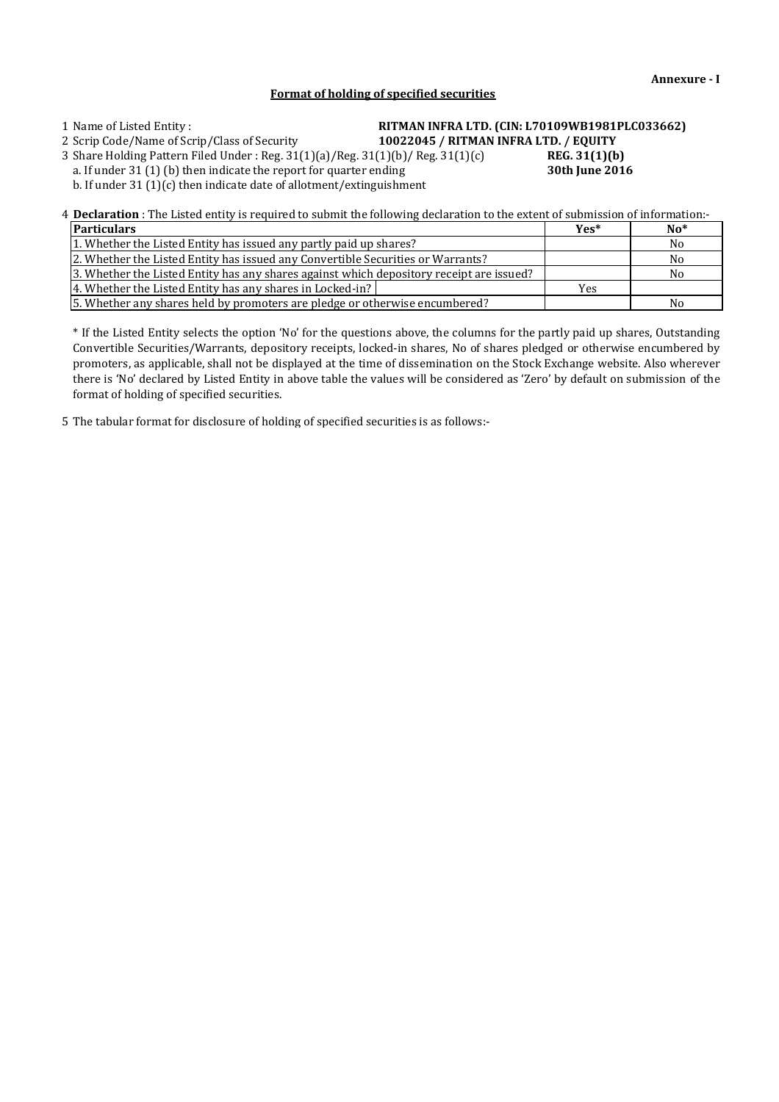## **Format of holding of specified securities**

# 1 Name of Listed Entity : **RITMAN INFRA LTD. (CIN: L70109WB1981PLC033662)**

2 Scrip Code/Name of Scrip/Class of Security **10022045 / RITMAN INFRA LTD. / EQUITY**

3 Share Holding Pattern Filed Under : Reg. 31(1)(a)/Reg. 31(1)(b)/ Reg. 31(1)(c) **REG. 31(1)(b)**

a. If under 31 (1) (b) then indicate the report for quarter ending **30th June 2016** b. If under 31 (1)(c) then indicate date of allotment/extinguishment

4 **Declaration** : The Listed entity is required to submit the following declaration to the extent of submission of information:-

| <b>Particulars</b>                                                                       | $Yes*$     | $No*$ |
|------------------------------------------------------------------------------------------|------------|-------|
| 1. Whether the Listed Entity has issued any partly paid up shares?                       |            | No.   |
| [2. Whether the Listed Entity has issued any Convertible Securities or Warrants?]        |            | No    |
| 3. Whether the Listed Entity has any shares against which depository receipt are issued? |            | No    |
| 4. Whether the Listed Entity has any shares in Locked-in?                                | <b>Yes</b> |       |
| 5. Whether any shares held by promoters are pledge or otherwise encumbered?              |            | No    |

\* If the Listed Entity selects the option 'No' for the questions above, the columns for the partly paid up shares, Outstanding Convertible Securities/Warrants, depository receipts, locked-in shares, No of shares pledged or otherwise encumbered by promoters, as applicable, shall not be displayed at the time of dissemination on the Stock Exchange website. Also wherever there is 'No' declared by Listed Entity in above table the values will be considered as 'Zero' by default on submission of the format of holding of specified securities.

5 The tabular format for disclosure of holding of specified securities is as follows:-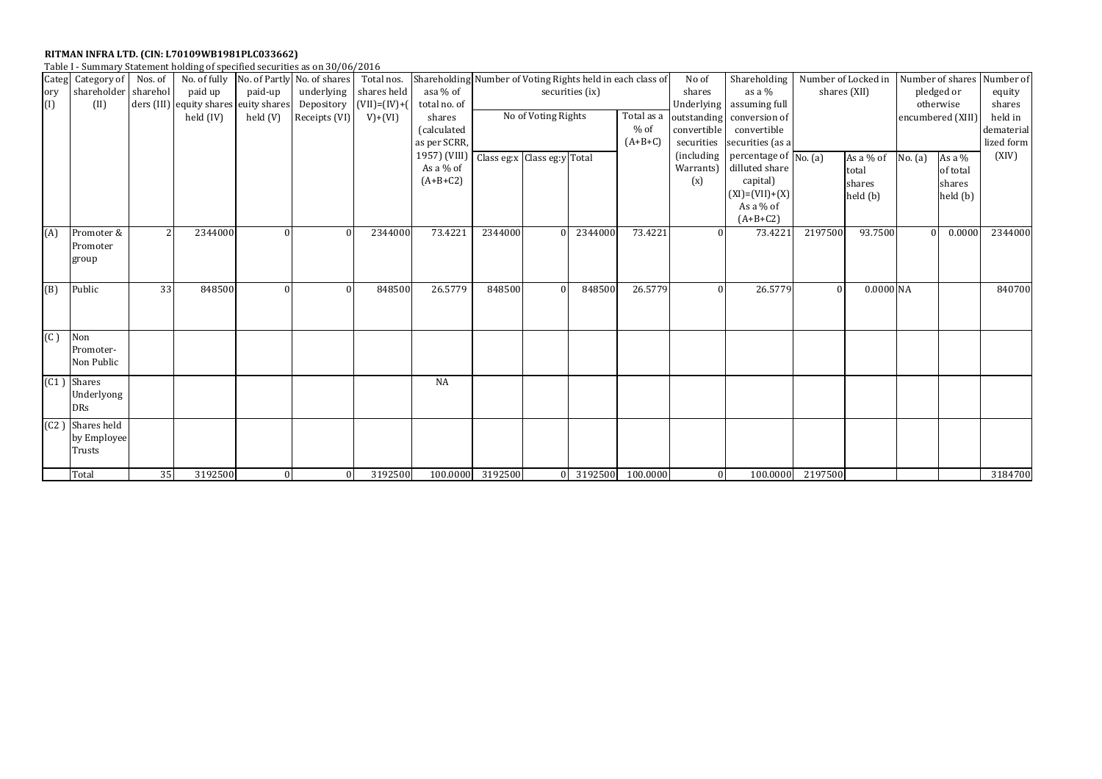| Table I - Summary Statement holding of specified securities as on 30/06/2016 |  |  |
|------------------------------------------------------------------------------|--|--|
|                                                                              |  |  |

| Categ | Category of Nos. of |               | No. of fully                          |              | No. of Partly No. of shares | Total nos.     | Shareholding Number of Voting Rights held in each class of |                             |                     |                 |            | No of              | Shareholding              | Number of Locked in |              | Number of shares |                   | Number of  |
|-------|---------------------|---------------|---------------------------------------|--------------|-----------------------------|----------------|------------------------------------------------------------|-----------------------------|---------------------|-----------------|------------|--------------------|---------------------------|---------------------|--------------|------------------|-------------------|------------|
| ory   | shareholder         | sharehol      | paid up                               | paid-up      | underlying                  | shares held    | asa % of                                                   |                             |                     | securities (ix) |            | shares             | as a $%$                  |                     | shares (XII) |                  | pledged or        | equity     |
| (1)   | (II)                |               | ders (III) equity shares euity shares |              | Depository                  | $(VII)=(IV)+($ | total no. of                                               |                             |                     |                 |            |                    | Underlying assuming full  |                     |              |                  | otherwise         | shares     |
|       |                     |               | held (IV)                             | held (V)     | Receipts (VI)               | $V)+(VI)$      | shares                                                     |                             | No of Voting Rights |                 | Total as a |                    | outstanding conversion of |                     |              |                  | encumbered (XIII) | held in    |
|       |                     |               |                                       |              |                             |                | (calculated                                                |                             |                     |                 | $%$ of     | convertible        | convertible               |                     |              |                  |                   | dematerial |
|       |                     |               |                                       |              |                             |                | as per SCRR,                                               |                             |                     |                 | $(A+B+C)$  | securities         | securities (as a          |                     |              |                  |                   | lized form |
|       |                     |               |                                       |              |                             |                | 1957) (VIII)                                               | Class eg:x Class eg:y Total |                     |                 |            | <i>(including)</i> | percentage of $N_0$ . (a) |                     | As a $%$ of  | No. (a)          | As a $%$          | (XIV)      |
|       |                     |               |                                       |              |                             |                | As a % of                                                  |                             |                     |                 |            | Warrants)          | dilluted share            |                     | total        |                  | of total          |            |
|       |                     |               |                                       |              |                             |                | $(A+B+C2)$                                                 |                             |                     |                 |            | (x)                | capital)                  |                     | shares       |                  | shares            |            |
|       |                     |               |                                       |              |                             |                |                                                            |                             |                     |                 |            |                    | $(XI) = (VII) + (X)$      |                     | held (b)     |                  | held (b)          |            |
|       |                     |               |                                       |              |                             |                |                                                            |                             |                     |                 |            |                    | As a $%$ of               |                     |              |                  |                   |            |
|       |                     |               |                                       |              |                             |                |                                                            |                             |                     |                 |            |                    | $(A+B+C2)$                |                     |              |                  |                   |            |
| (A)   | Promoter &          | $\mathcal{P}$ | 2344000                               | $\Omega$     |                             | 2344000        | 73.4221                                                    | 2344000                     |                     | 2344000         | 73.4221    |                    | 73.4221                   | 2197500             | 93.7500      |                  | 0.0000            | 2344000    |
|       | Promoter            |               |                                       |              |                             |                |                                                            |                             |                     |                 |            |                    |                           |                     |              |                  |                   |            |
|       | group               |               |                                       |              |                             |                |                                                            |                             |                     |                 |            |                    |                           |                     |              |                  |                   |            |
|       |                     |               |                                       |              |                             |                |                                                            |                             |                     |                 |            |                    |                           |                     |              |                  |                   |            |
| (B)   | Public              | 33            | 848500                                | $\Omega$     | $\Omega$                    | 848500         | 26.5779                                                    | 848500                      |                     | 848500          | 26.5779    | $\Omega$           | 26.5779                   | $\Omega$            | $0.0000$ NA  |                  |                   | 840700     |
|       |                     |               |                                       |              |                             |                |                                                            |                             |                     |                 |            |                    |                           |                     |              |                  |                   |            |
|       |                     |               |                                       |              |                             |                |                                                            |                             |                     |                 |            |                    |                           |                     |              |                  |                   |            |
|       |                     |               |                                       |              |                             |                |                                                            |                             |                     |                 |            |                    |                           |                     |              |                  |                   |            |
| (C)   | Non                 |               |                                       |              |                             |                |                                                            |                             |                     |                 |            |                    |                           |                     |              |                  |                   |            |
|       | Promoter-           |               |                                       |              |                             |                |                                                            |                             |                     |                 |            |                    |                           |                     |              |                  |                   |            |
|       | Non Public          |               |                                       |              |                             |                |                                                            |                             |                     |                 |            |                    |                           |                     |              |                  |                   |            |
| (C1)  | <b>Shares</b>       |               |                                       |              |                             |                | <b>NA</b>                                                  |                             |                     |                 |            |                    |                           |                     |              |                  |                   |            |
|       | Underlyong          |               |                                       |              |                             |                |                                                            |                             |                     |                 |            |                    |                           |                     |              |                  |                   |            |
|       | <b>DRs</b>          |               |                                       |              |                             |                |                                                            |                             |                     |                 |            |                    |                           |                     |              |                  |                   |            |
|       |                     |               |                                       |              |                             |                |                                                            |                             |                     |                 |            |                    |                           |                     |              |                  |                   |            |
| (C2)  | Shares held         |               |                                       |              |                             |                |                                                            |                             |                     |                 |            |                    |                           |                     |              |                  |                   |            |
|       | by Employee         |               |                                       |              |                             |                |                                                            |                             |                     |                 |            |                    |                           |                     |              |                  |                   |            |
|       | Trusts              |               |                                       |              |                             |                |                                                            |                             |                     |                 |            |                    |                           |                     |              |                  |                   |            |
|       | Total               | 35            | 3192500                               | $\mathbf{0}$ | $\Omega$                    | 3192500        |                                                            | 100.0000 3192500            |                     | 3192500         | 100.0000   | $\overline{0}$     | 100.0000                  | 2197500             |              |                  |                   | 3184700    |
|       |                     |               |                                       |              |                             |                |                                                            |                             |                     |                 |            |                    |                           |                     |              |                  |                   |            |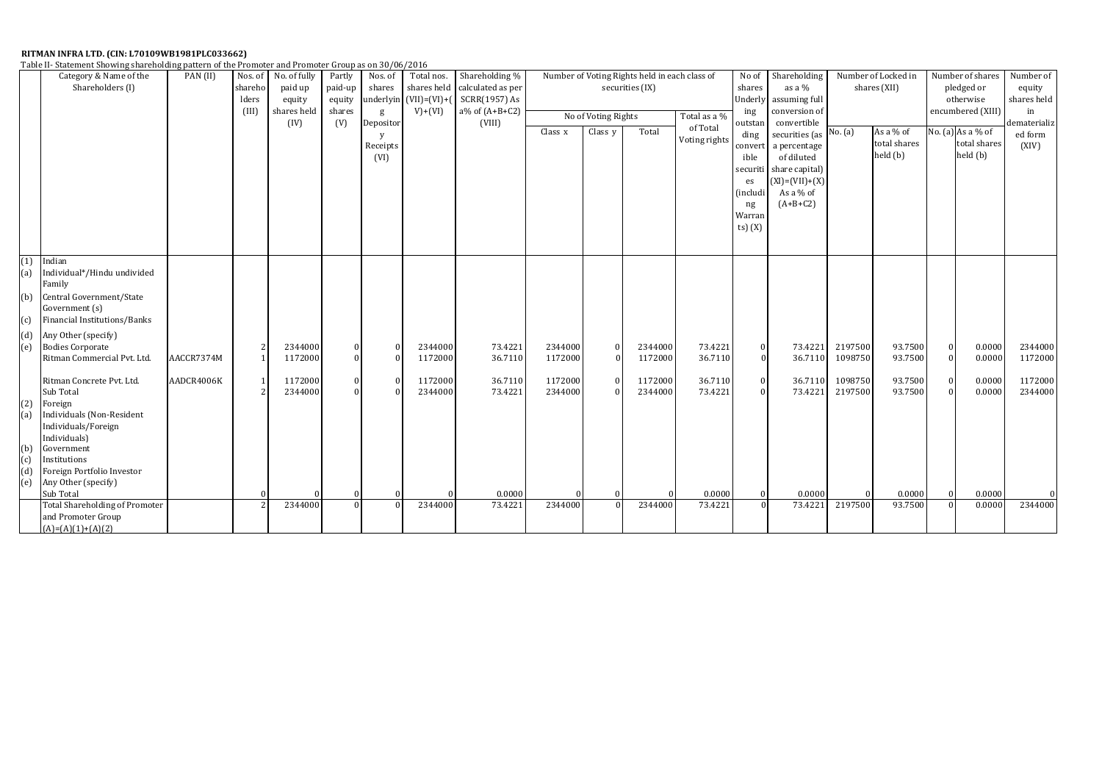| Table II- Statement Showing shareholding pattern of the Promoter and Promoter Group as on 30/06/2016 |  |
|------------------------------------------------------------------------------------------------------|--|
|------------------------------------------------------------------------------------------------------|--|

|     | Category & Name of the                | PAN (II)   | Nos. of | No. of fully | Partly   | Nos. of   | Total nos.             | Shareholding %      |                 |                     | Number of Voting Rights held in each class of |               | No of          | Shareholding             |                   | Number of Locked in |                | Number of shares  | Number of    |
|-----|---------------------------------------|------------|---------|--------------|----------|-----------|------------------------|---------------------|-----------------|---------------------|-----------------------------------------------|---------------|----------------|--------------------------|-------------------|---------------------|----------------|-------------------|--------------|
|     | Shareholders (I)                      |            | sharehc | paid up      | paid-up  | shares    | shares held            | calculated as per   | securities (IX) |                     |                                               |               | shares         | as a %                   |                   | shares (XII)        |                | pledged or        | equity       |
|     |                                       |            | lders   | equity       | equity   |           | underlyin (VII)=(VI)+( | SCRR(1957) As       |                 |                     |                                               |               |                | Underly assuming full    |                   |                     |                | otherwise         | shares held  |
|     |                                       |            | (III)   | shares held  | shares   | g         | $V)+(VI)$              | $a\%$ of $(A+B+C2)$ |                 |                     | ing                                           | conversion of |                |                          | encumbered (XIII) |                     | in             |                   |              |
|     |                                       |            |         | (IV)         | (V)      | Depositor |                        | (VIII)              |                 | No of Voting Rights |                                               | Total as a %  | outstan        | convertible              |                   |                     |                |                   | dematerializ |
|     |                                       |            |         |              |          | V         |                        |                     | Class x         | Class y             | Total                                         | of Total      | ding           | securities (as $No. (a)$ |                   | As a % of           |                | No. (a) As a % of | ed form      |
|     |                                       |            |         |              |          | Receipts  |                        |                     |                 |                     |                                               | Voting rights | convert        | a percentage             |                   | total shares        |                | total shares      | (XIV)        |
|     |                                       |            |         |              |          | (VI)      |                        |                     |                 |                     |                                               |               | ible           | of diluted               |                   | held (b)            |                | held (b)          |              |
|     |                                       |            |         |              |          |           |                        |                     |                 |                     |                                               |               |                | securiti share capital)  |                   |                     |                |                   |              |
|     |                                       |            |         |              |          |           |                        |                     |                 |                     |                                               |               |                | $(XI) = (VII) + (X)$     |                   |                     |                |                   |              |
|     |                                       |            |         |              |          |           |                        |                     |                 |                     |                                               |               | es<br>(includi | As a % of                |                   |                     |                |                   |              |
|     |                                       |            |         |              |          |           |                        |                     |                 |                     |                                               |               |                | $(A+B+C2)$               |                   |                     |                |                   |              |
|     |                                       |            |         |              |          |           |                        |                     |                 |                     |                                               |               | ng             |                          |                   |                     |                |                   |              |
|     |                                       |            |         |              |          |           |                        |                     |                 |                     |                                               |               | Warran         |                          |                   |                     |                |                   |              |
|     |                                       |            |         |              |          |           |                        |                     |                 |                     |                                               |               | ts) $(X)$      |                          |                   |                     |                |                   |              |
|     |                                       |            |         |              |          |           |                        |                     |                 |                     |                                               |               |                |                          |                   |                     |                |                   |              |
| (1) | Indian                                |            |         |              |          |           |                        |                     |                 |                     |                                               |               |                |                          |                   |                     |                |                   |              |
| (a) | Individual*/Hindu undivided           |            |         |              |          |           |                        |                     |                 |                     |                                               |               |                |                          |                   |                     |                |                   |              |
|     | Family                                |            |         |              |          |           |                        |                     |                 |                     |                                               |               |                |                          |                   |                     |                |                   |              |
|     | Central Government/State              |            |         |              |          |           |                        |                     |                 |                     |                                               |               |                |                          |                   |                     |                |                   |              |
| (b) |                                       |            |         |              |          |           |                        |                     |                 |                     |                                               |               |                |                          |                   |                     |                |                   |              |
|     | Government (s)                        |            |         |              |          |           |                        |                     |                 |                     |                                               |               |                |                          |                   |                     |                |                   |              |
| (c) | Financial Institutions/Banks          |            |         |              |          |           |                        |                     |                 |                     |                                               |               |                |                          |                   |                     |                |                   |              |
| (d) | Any Other (specify)                   |            |         |              |          |           |                        |                     |                 |                     |                                               |               |                |                          |                   |                     |                |                   |              |
| (e) | <b>Bodies Corporate</b>               |            |         | 2344000      |          |           | 2344000                | 73.4221             | 2344000         | $\bf{0}$            | 2344000                                       | 73.4221       | $\bf{0}$       | 73.4221                  | 2197500           | 93.7500             | $\theta$       | 0.0000            | 2344000      |
|     | Ritman Commercial Pvt. Ltd.           | AACCR7374M |         | 1172000      |          |           | 1172000                | 36.7110             | 1172000         | $\theta$            | 1172000                                       | 36.7110       | $\mathbf{0}$   | 36.7110                  | 1098750           | 93.7500             | $\Omega$       | 0.0000            | 1172000      |
|     |                                       |            |         |              |          |           |                        |                     |                 |                     |                                               |               |                |                          |                   |                     |                |                   |              |
|     | Ritman Concrete Pvt. Ltd.             | AADCR4006K |         | 1172000      |          |           | 1172000                | 36.7110             | 1172000         |                     | 1172000                                       | 36.7110       | $\overline{0}$ | 36.7110                  | 1098750           | 93.7500             | $\Omega$       | 0.0000            | 1172000      |
|     | Sub Total                             |            |         | 2344000      |          |           | 2344000                | 73.4221             | 2344000         | $\Omega$            | 2344000                                       | 73.4221       | $\Omega$       | 73.4221                  | 2197500           | 93.7500             |                | 0.0000            | 2344000      |
| (2) | Foreign                               |            |         |              |          |           |                        |                     |                 |                     |                                               |               |                |                          |                   |                     |                |                   |              |
| (a) | <b>Individuals (Non-Resident</b>      |            |         |              |          |           |                        |                     |                 |                     |                                               |               |                |                          |                   |                     |                |                   |              |
|     | Individuals/Foreign                   |            |         |              |          |           |                        |                     |                 |                     |                                               |               |                |                          |                   |                     |                |                   |              |
|     | Individuals)                          |            |         |              |          |           |                        |                     |                 |                     |                                               |               |                |                          |                   |                     |                |                   |              |
| (b) | Government                            |            |         |              |          |           |                        |                     |                 |                     |                                               |               |                |                          |                   |                     |                |                   |              |
| (c) | Institutions                          |            |         |              |          |           |                        |                     |                 |                     |                                               |               |                |                          |                   |                     |                |                   |              |
| (d) | Foreign Portfolio Investor            |            |         |              |          |           |                        |                     |                 |                     |                                               |               |                |                          |                   |                     |                |                   |              |
| (e) | Any Other (specify)                   |            |         |              |          |           |                        |                     |                 |                     |                                               |               |                |                          |                   |                     |                |                   |              |
|     | Sub Total                             |            |         |              |          |           |                        | 0.0000              |                 |                     |                                               | 0.0000        | $\Omega$       | 0.0000                   | $\Omega$          | 0.0000              | $\overline{0}$ | 0.0000            | 0            |
|     | <b>Total Shareholding of Promoter</b> |            |         | 2344000      | $\Omega$ |           | 2344000                | 73.4221             | 2344000         |                     | 2344000                                       | 73.4221       | $\Omega$       | 73.4221                  | 2197500           | 93.7500             | $\Omega$       | 0.0000            | 2344000      |
|     | and Promoter Group                    |            |         |              |          |           |                        |                     |                 |                     |                                               |               |                |                          |                   |                     |                |                   |              |
|     | $(A)=(A)(1)+(A)(2)$                   |            |         |              |          |           |                        |                     |                 |                     |                                               |               |                |                          |                   |                     |                |                   |              |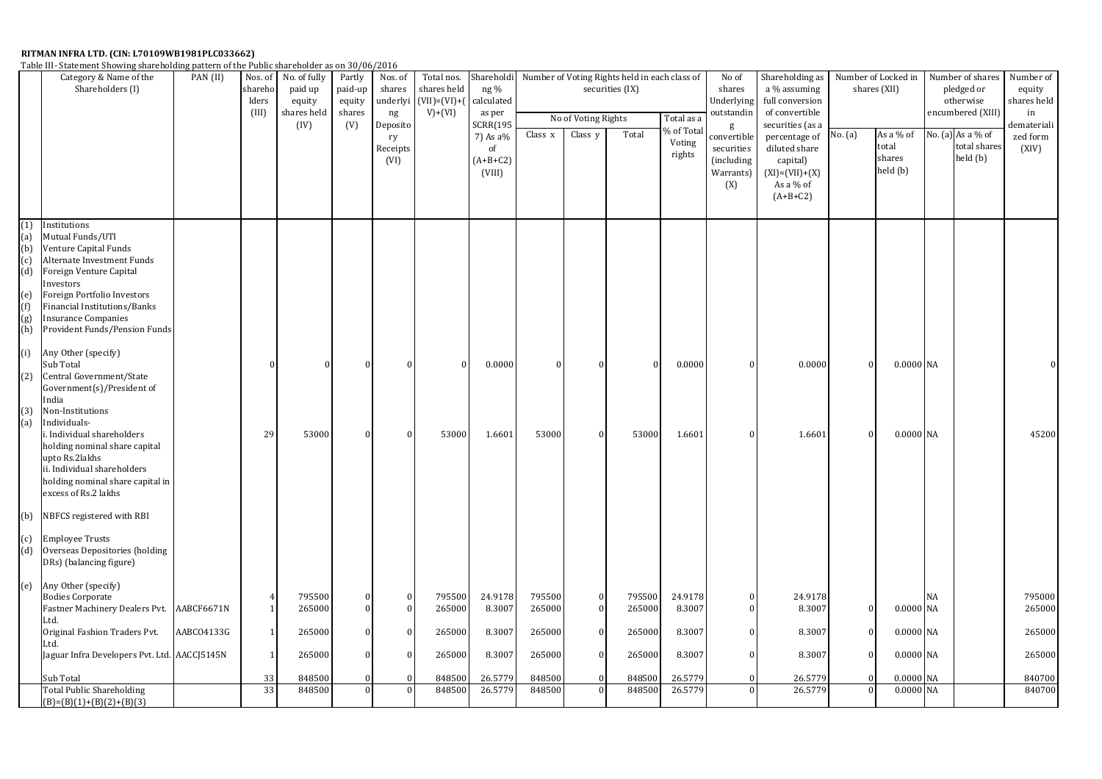Table III- Statement Showing shareholding pattern of the Public shareholder as on 30/06/2016

|                                                             | Category & Name of the<br>Shareholders (I)                                                                                                                                                                                                                    | PAN (II)   | Nos. of<br>shareho<br>lders<br>(III) | No. of fully<br>Partly<br>Nos. of<br>paid up<br>paid-up<br>shares<br>underlyi<br>equity<br>equity<br>shares held<br>shares<br>$\rm ng$<br>(V)<br>(IV)<br>Deposito<br>ry<br>Receipts |  | Total nos.<br>shares held<br>$(VII) = (VI) + ($<br>$V)+(VI)$ | Shareholdi<br>ng %<br>calculated<br>as per<br>SCRR(195<br>7) As a%<br>of | Class x              | No of Voting Rights<br>Class y | Number of Voting Rights held in each class of<br>securities (IX)<br>Total | Total as a<br>% of Total<br>Voting<br>rights | No of<br>shares<br>Underlying<br>outstandin<br>g<br>convertible<br>securities | Shareholding as<br>a % assuming<br>full conversion<br>of convertible<br>securities (as a<br>percentage of<br>diluted share | Number of Locked in<br>shares (XII)<br>As a % of<br>No. (a)<br>total<br>shares |  | Number of shares<br>pledged or<br>otherwise<br>encumbered (XIII)<br>No. (a) As a % of<br>total shares<br>held (b) |    | Number of<br>equity<br>shares held<br>in<br>demateriali<br>zed form<br>(XIV) |                  |
|-------------------------------------------------------------|---------------------------------------------------------------------------------------------------------------------------------------------------------------------------------------------------------------------------------------------------------------|------------|--------------------------------------|-------------------------------------------------------------------------------------------------------------------------------------------------------------------------------------|--|--------------------------------------------------------------|--------------------------------------------------------------------------|----------------------|--------------------------------|---------------------------------------------------------------------------|----------------------------------------------|-------------------------------------------------------------------------------|----------------------------------------------------------------------------------------------------------------------------|--------------------------------------------------------------------------------|--|-------------------------------------------------------------------------------------------------------------------|----|------------------------------------------------------------------------------|------------------|
|                                                             |                                                                                                                                                                                                                                                               |            |                                      |                                                                                                                                                                                     |  | (VI)                                                         |                                                                          | $(A+B+C2)$<br>(VIII) |                                |                                                                           |                                              |                                                                               | (including<br>Warrants)<br>(X)                                                                                             | capital)<br>$(XI) = (VII) + (X)$<br>As a % of<br>$(A+B+C2)$                    |  | held (b)                                                                                                          |    |                                                                              |                  |
| (1)<br>(a)<br>(b)<br>(c)<br>(d)<br>(e)<br>(f)<br>(g)<br>(h) | Institutions<br>Mutual Funds/UTI<br>Venture Capital Funds<br>Alternate Investment Funds<br>Foreign Venture Capital<br>Investors<br>Foreign Portfolio Investors<br>Financial Institutions/Banks<br><b>Insurance Companies</b><br>Provident Funds/Pension Funds |            |                                      |                                                                                                                                                                                     |  |                                                              |                                                                          |                      |                                |                                                                           |                                              |                                                                               |                                                                                                                            |                                                                                |  |                                                                                                                   |    |                                                                              |                  |
| (i)<br>(2)<br>(3)                                           | Any Other (specify)<br>Sub Total<br>Central Government/State<br>Government(s)/President of<br>India<br>Non-Institutions                                                                                                                                       |            |                                      |                                                                                                                                                                                     |  |                                                              | $\Omega$                                                                 | 0.0000               |                                |                                                                           |                                              | 0.0000                                                                        |                                                                                                                            | 0.0000                                                                         |  | 0.0000 NA                                                                                                         |    |                                                                              |                  |
| (a)                                                         | Individuals-<br>i. Individual shareholders<br>holding nominal share capital<br>upto Rs.2lakhs<br>ii. Individual shareholders<br>holding nominal share capital in<br>excess of Rs.2 lakhs                                                                      |            | 29                                   | 53000                                                                                                                                                                               |  |                                                              | 53000                                                                    | 1.6601               | 53000                          | $\Omega$                                                                  | 53000                                        | 1.6601                                                                        |                                                                                                                            | 1.6601                                                                         |  | 0.0000 NA                                                                                                         |    |                                                                              | 45200            |
| (b)                                                         | NBFCS registered with RBI                                                                                                                                                                                                                                     |            |                                      |                                                                                                                                                                                     |  |                                                              |                                                                          |                      |                                |                                                                           |                                              |                                                                               |                                                                                                                            |                                                                                |  |                                                                                                                   |    |                                                                              |                  |
| (c)<br>(d)                                                  | <b>Employee Trusts</b><br>Overseas Depositories (holding<br>DRs) (balancing figure)                                                                                                                                                                           |            |                                      |                                                                                                                                                                                     |  |                                                              |                                                                          |                      |                                |                                                                           |                                              |                                                                               |                                                                                                                            |                                                                                |  |                                                                                                                   |    |                                                                              |                  |
| (e)                                                         | Any Other (specify)<br><b>Bodies Corporate</b><br>Fastner Machinery Dealers Pvt. AABCF6671N<br>Ltd.                                                                                                                                                           |            | -1                                   | 795500<br>265000                                                                                                                                                                    |  | $\Omega$<br>$\Omega$                                         | 795500<br>265000                                                         | 24.9178<br>8.3007    | 795500<br>265000               | $\Omega$                                                                  | 795500<br>265000                             | 24.9178<br>8.3007                                                             |                                                                                                                            | 24.9178<br>8.3007                                                              |  | 0.0000 NA                                                                                                         | NA |                                                                              | 795000<br>265000 |
|                                                             | Original Fashion Traders Pvt.<br>Ltd.                                                                                                                                                                                                                         | AABCO4133G | $\vert$ 1                            | 265000                                                                                                                                                                              |  | $\Omega$                                                     | 265000                                                                   | 8.3007               | 265000                         | $_{0}$                                                                    | 265000                                       | 8.3007                                                                        |                                                                                                                            | 8.3007                                                                         |  | 0.0000 NA                                                                                                         |    |                                                                              | 265000           |
|                                                             | Jaguar Infra Developers Pvt. Ltd. AACCJ5145N                                                                                                                                                                                                                  |            | 1                                    | 265000                                                                                                                                                                              |  |                                                              | 265000                                                                   | 8.3007               | 265000                         |                                                                           | 265000                                       | 8.3007                                                                        |                                                                                                                            | 8.3007                                                                         |  | 0.0000 NA                                                                                                         |    |                                                                              | 265000           |
|                                                             | Sub Total<br><b>Total Public Shareholding</b>                                                                                                                                                                                                                 |            | 33<br>33                             | 848500<br>848500                                                                                                                                                                    |  |                                                              | 848500<br>848500                                                         | 26.5779<br>26.5779   | 848500<br>848500               |                                                                           | 848500<br>848500                             | 26.5779<br>26.5779                                                            |                                                                                                                            | 26.5779<br>26.5779                                                             |  | 0.0000 NA<br>0.0000 NA                                                                                            |    |                                                                              | 840700<br>840700 |
|                                                             | $(B)=(B)(1)+(B)(2)+(B)(3)$                                                                                                                                                                                                                                    |            |                                      |                                                                                                                                                                                     |  |                                                              |                                                                          |                      |                                |                                                                           |                                              |                                                                               |                                                                                                                            |                                                                                |  |                                                                                                                   |    |                                                                              |                  |